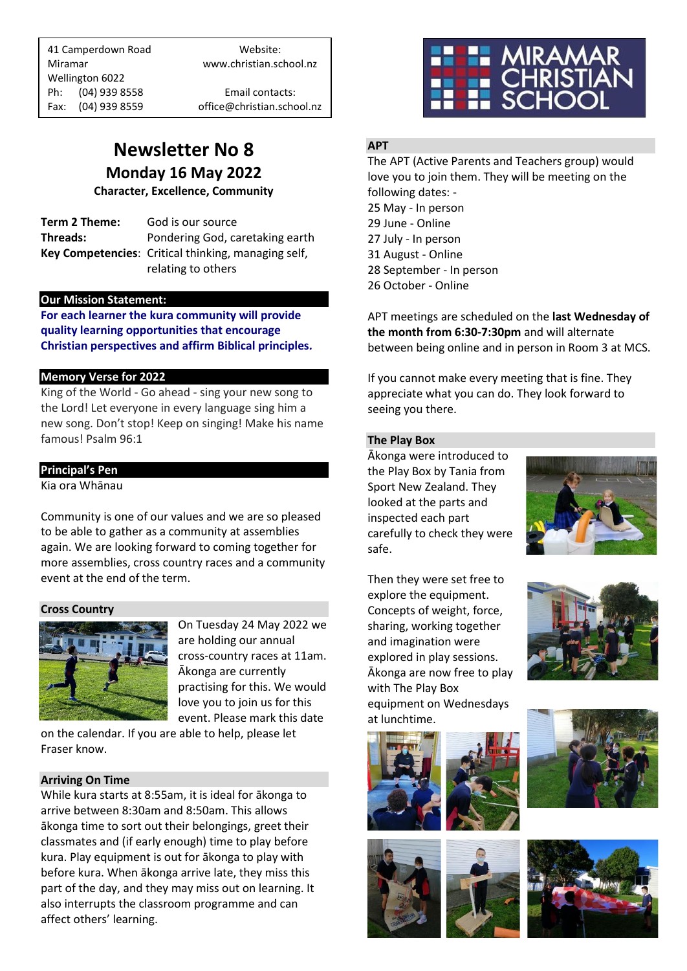41 Camperdown Road Website: Miramar www.christian.school.nz Wellington 6022 Ph: (04) 939 8558 Email contacts:

Fax: (04) 939 8559 office@christian.school.nz

### **Newsletter No 8 Monday 16 May 2022**

**Character, Excellence, Community**

**Term 2 Theme:** God is our source **Threads:** Pondering God, caretaking earth **Key Competencies**: Critical thinking, managing self, relating to others

### **Our Mission Statement:**

**For each learner the kura community will provide quality learning opportunities that encourage Christian perspectives and affirm Biblical principles***.*

### **Memory Verse for 2022**

King of the World - Go ahead - sing your new song to the Lord! Let everyone in every language sing him a new song. Don't stop! Keep on singing! Make his name famous! Psalm 96:1

### **Principal's Pen**

Kia ora Whānau

Community is one of our values and we are so pleased to be able to gather as a community at assemblies again. We are looking forward to coming together for more assemblies, cross country races and a community event at the end of the term.

### **Cross Country**



On Tuesday 24 May 2022 we are holding our annual cross-country races at 11am. Ākonga are currently practising for this. We would love you to join us for this event. Please mark this date

on the calendar. If you are able to help, please let Fraser know.

### **Arriving On Time**

While kura starts at 8:55am, it is ideal for ākonga to arrive between 8:30am and 8:50am. This allows ākonga time to sort out their belongings, greet their classmates and (if early enough) time to play before kura. Play equipment is out for ākonga to play with before kura. When ākonga arrive late, they miss this part of the day, and they may miss out on learning. It also interrupts the classroom programme and can affect others' learning.



### **APT**

The APT (Active Parents and Teachers group) would love you to join them. They will be meeting on the following dates: -

 May - In person 29 June - Online July - In person August - Online September - In person October - Online

APT meetings are scheduled on the **last Wednesday of the month from 6:30-7:30pm** and will alternate between being online and in person in Room 3 at MCS.

If you cannot make every meeting that is fine. They appreciate what you can do. They look forward to seeing you there.

### **The Play Box**

Ākonga were introduced to the Play Box by Tania from Sport New Zealand. They looked at the parts and inspected each part carefully to check they were safe.



Then they were set free to explore the equipment. Concepts of weight, force, sharing, working together and imagination were explored in play sessions. Ākonga are now free to play with The Play Box equipment on Wednesdays at lunchtime.









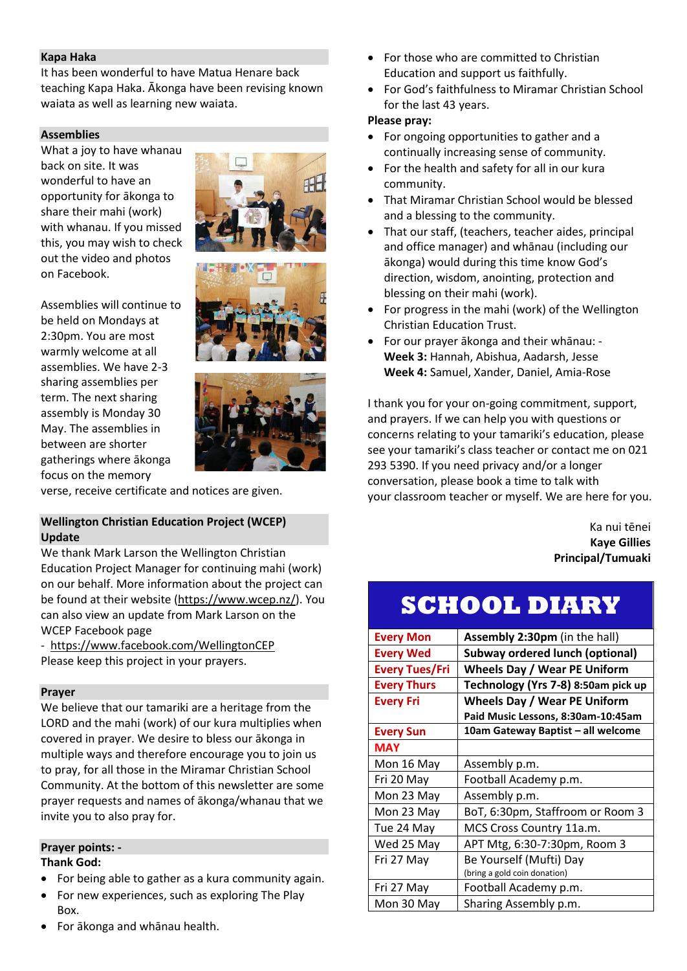### **Kapa Haka**

It has been wonderful to have Matua Henare back teaching Kapa Haka. Ākonga have been revising known waiata as well as learning new waiata.

### **Assemblies**

What a joy to have whanau back on site. It was wonderful to have an opportunity for ākonga to share their mahi (work) with whanau. If you missed this, you may wish to check out the video and photos on Facebook.









verse, receive certificate and notices are given.

### **Wellington Christian Education Project (WCEP) Update**

We thank Mark Larson the Wellington Christian Education Project Manager for continuing mahi (work) on our behalf. More information about the project can be found at their website [\(https://www.wcep.nz/\)](https://www.wcep.nz/). You can also view an update from Mark Larson on the WCEP Facebook page

<https://www.facebook.com/WellingtonCEP> Please keep this project in your prayers.

### **Prayer**

We believe that our tamariki are a heritage from the LORD and the mahi (work) of our kura multiplies when covered in prayer. We desire to bless our ākonga in multiple ways and therefore encourage you to join us to pray, for all those in the Miramar Christian School Community. At the bottom of this newsletter are some prayer requests and names of ākonga/whanau that we invite you to also pray for.

### **Prayer points: - Thank God:**

- For being able to gather as a kura community again.
- For new experiences, such as exploring The Play Box.
- For ākonga and whānau health.
- For those who are committed to Christian Education and support us faithfully.
- For God's faithfulness to Miramar Christian School for the last 43 years.

### **Please pray:**

- For ongoing opportunities to gather and a continually increasing sense of community.
- For the health and safety for all in our kura community.
- That Miramar Christian School would be blessed and a blessing to the community.
- That our staff, (teachers, teacher aides, principal and office manager) and whānau (including our ākonga) would during this time know God's direction, wisdom, anointing, protection and blessing on their mahi (work).
- For progress in the mahi (work) of the Wellington Christian Education Trust.
- For our prayer ākonga and their whānau: **Week 3:** Hannah, Abishua, Aadarsh, Jesse **Week 4:** Samuel, Xander, Daniel, Amia-Rose

I thank you for your on-going commitment, support, and prayers. If we can help you with questions or concerns relating to your tamariki's education, please see your tamariki's class teacher or contact me on 021 293 5390. If you need privacy and/or a longer conversation, please book a time to talk with your classroom teacher or myself. We are here for you.

> Ka nui tēnei **Kaye Gillies Principal/Tumuaki**

## **SCHOOL DIARY**

| <b>Every Mon</b>      | Assembly 2:30pm (in the hall)          |
|-----------------------|----------------------------------------|
| <b>Every Wed</b>      | <b>Subway ordered lunch (optional)</b> |
| <b>Every Tues/Fri</b> | <b>Wheels Day / Wear PE Uniform</b>    |
| <b>Every Thurs</b>    | Technology (Yrs 7-8) 8:50am pick up    |
| <b>Every Fri</b>      | <b>Wheels Day / Wear PE Uniform</b>    |
|                       | Paid Music Lessons, 8:30am-10:45am     |
| <b>Every Sun</b>      | 10am Gateway Baptist – all welcome     |
| <b>MAY</b>            |                                        |
| Mon 16 May            | Assembly p.m.                          |
| Fri 20 May            | Football Academy p.m.                  |
| Mon 23 May            | Assembly p.m.                          |
| Mon 23 May            | BoT, 6:30pm, Staffroom or Room 3       |
| Tue 24 May            | MCS Cross Country 11a.m.               |
| Wed 25 May            | APT Mtg, 6:30-7:30pm, Room 3           |
| Fri 27 May            | Be Yourself (Mufti) Day                |
|                       | (bring a gold coin donation)           |
| Fri 27 May            | Football Academy p.m.                  |
| Mon 30 May            | Sharing Assembly p.m.                  |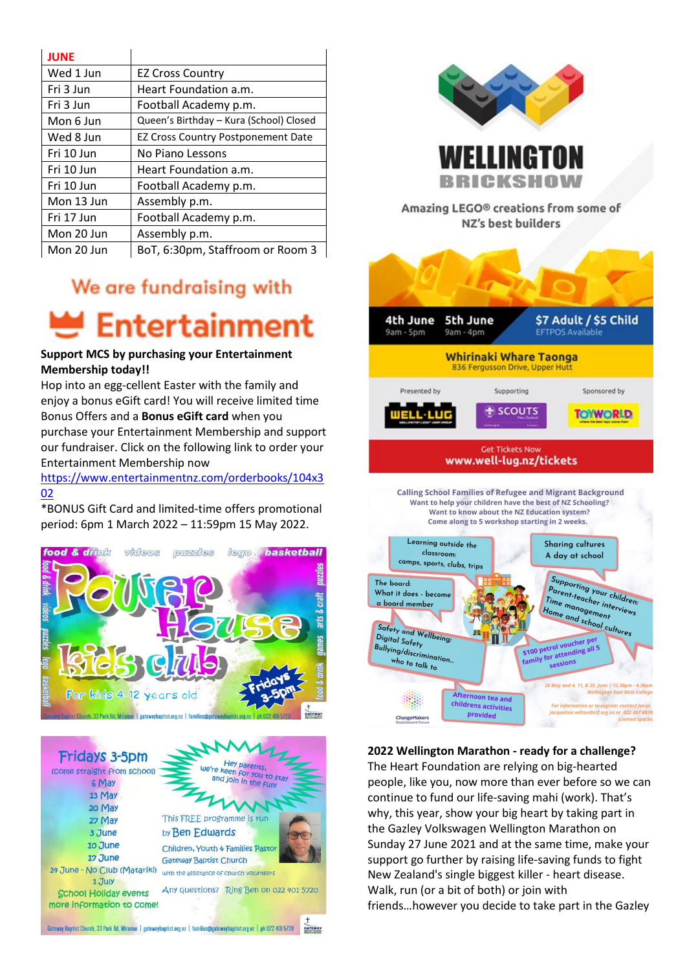| <b>JUNE</b> |                                           |
|-------------|-------------------------------------------|
| Wed 1 Jun   | <b>EZ Cross Country</b>                   |
| Fri 3 Jun   | Heart Foundation a.m.                     |
| Fri 3 Jun   | Football Academy p.m.                     |
| Mon 6 Jun   | Queen's Birthday - Kura (School) Closed   |
| Wed 8 Jun   | <b>EZ Cross Country Postponement Date</b> |
| Fri 10 Jun  | No Piano Lessons                          |
| Fri 10 Jun  | Heart Foundation a.m.                     |
| Fri 10 Jun  | Football Academy p.m.                     |
| Mon 13 Jun  | Assembly p.m.                             |
| Fri 17 Jun  | Football Academy p.m.                     |
| Mon 20 Jun  | Assembly p.m.                             |
| Mon 20 Jun  | BoT, 6:30pm, Staffroom or Room 3          |

### We are fundraising with

# **Entertainment**

### **Support MCS by purchasing your Entertainment Membership today!!**

Hop into an egg-cellent Easter with the family and enjoy a bonus eGift card! You will receive limited time Bonus Offers and a **Bonus eGift card** when you purchase your Entertainment Membership and support our fundraiser. Click on the following link to order your Entertainment Membership now

[https://www.entertainmentnz.com/orderbooks/104x3](https://www.entertainmentnz.com/orderbooks/104x302) [02](https://www.entertainmentnz.com/orderbooks/104x302)

\*BONUS Gift Card and limited-time offers promotional period: 6pm 1 March 2022 – 11:59pm 15 May 2022.







Amazing LEGO® creations from some of NZ's best builders

RICKSHO



### **2022 Wellington Marathon - ready for a challenge?**

The Heart Foundation are relying on big-hearted people, like you, now more than ever before so we can continue to fund our life-saving mahi (work). That's why, this year, show your big heart by taking part in the Gazley Volkswagen Wellington Marathon on Sunday 27 June 2021 and at the same time, make your support go further by raising life-saving funds to fight New Zealand's single biggest killer - heart disease. Walk, run (or a bit of both) or join with friends…however you decide to take part in the Gazley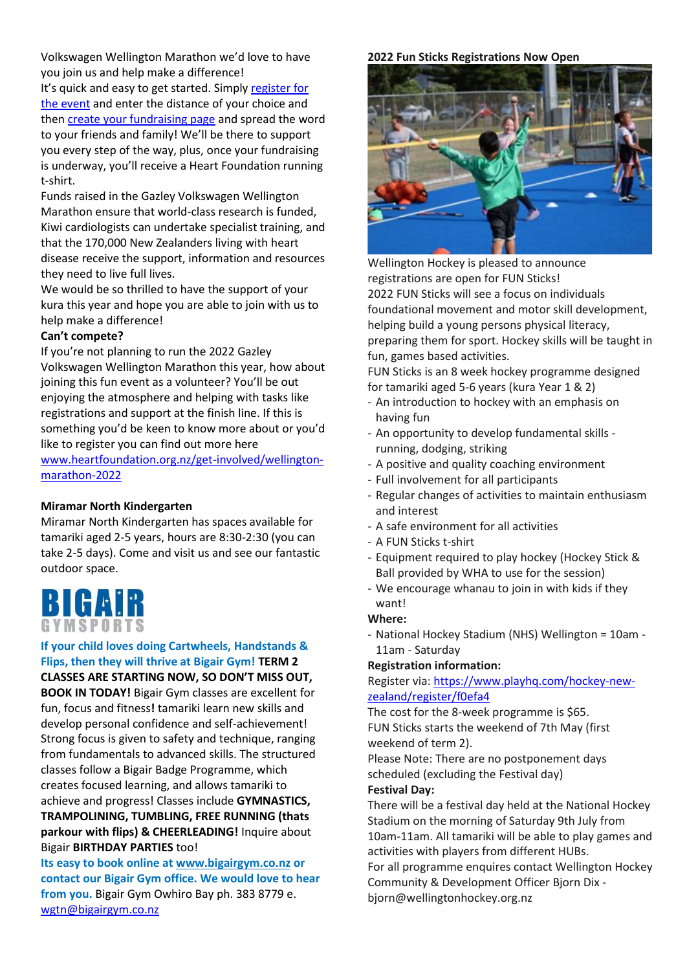Volkswagen Wellington Marathon we'd love to have you join us and help make a difference!

It's quick and easy to get started. Simply register for [the event](https://www.wellingtonmarathon.co.nz/entry-info) and enter the distance of your choice and the[n create your fundraising page](http://www.heartfoundation.org.nz/get-involved/wellington-marathon-2022) and spread the word to your friends and family! We'll be there to support you every step of the way, plus, once your fundraising is underway, you'll receive a Heart Foundation running t-shirt.

Funds raised in the Gazley Volkswagen Wellington Marathon ensure that world-class research is funded, Kiwi cardiologists can undertake specialist training, and that the 170,000 New Zealanders living with heart disease receive the support, information and resources they need to live full lives.

We would be so thrilled to have the support of your kura this year and hope you are able to join with us to help make a difference!

### **Can't compete?**

If you're not planning to run the 2022 Gazley Volkswagen Wellington Marathon this year, how about joining this fun event as a volunteer? You'll be out enjoying the atmosphere and helping with tasks like registrations and support at the finish line. If this is something you'd be keen to know more about or you'd like to register you can find out more here

[www.heartfoundation.org.nz/get-involved/wellington](http://www.heartfoundation.org.nz/get-involved/wellington-marathon-2022)[marathon-2022](http://www.heartfoundation.org.nz/get-involved/wellington-marathon-2022)

### **Miramar North Kindergarten**

Miramar North Kindergarten has spaces available for tamariki aged 2-5 years, hours are 8:30-2:30 (you can take 2-5 days). Come and visit us and see our fantastic outdoor space.



### **If your child loves doing Cartwheels, Handstands & Flips, then they will thrive at Bigair Gym! TERM 2**

**CLASSES ARE STARTING NOW, SO DON'T MISS OUT, BOOK IN TODAY!** Bigair Gym classes are excellent for fun, focus and fitness**!** tamariki learn new skills and develop personal confidence and self-achievement! Strong focus is given to safety and technique, ranging from fundamentals to advanced skills. The structured classes follow a Bigair Badge Programme, which creates focused learning, and allows tamariki to achieve and progress! Classes include **GYMNASTICS, TRAMPOLINING, TUMBLING, FREE RUNNING (thats parkour with flips) & CHEERLEADING!** Inquire about Bigair **BIRTHDAY PARTIES** too!

**Its easy to book online a[t www.bigairgym.co.nz](http://www.bigairgym.co.nz/) or contact our Bigair Gym office. We would love to hear from you.** Bigair Gym Owhiro Bay ph. 383 8779 e. [wgtn@bigairgym.co.nz](mailto:wgtn@bigairgym.co.nz)

### **2022 Fun Sticks Registrations Now Open**



Wellington Hockey is pleased to announce registrations are open for FUN Sticks! 2022 FUN Sticks will see a focus on individuals foundational movement and motor skill development, helping build a young persons physical literacy, preparing them for sport. Hockey skills will be taught in fun, games based activities.

FUN Sticks is an 8 week hockey programme designed for tamariki aged 5-6 years (kura Year 1 & 2)

- An introduction to hockey with an emphasis on having fun
- An opportunity to develop fundamental skills running, dodging, striking
- A positive and quality coaching environment
- Full involvement for all participants
- Regular changes of activities to maintain enthusiasm and interest
- A safe environment for all activities
- A FUN Sticks t-shirt
- Equipment required to play hockey (Hockey Stick & Ball provided by WHA to use for the session)
- We encourage whanau to join in with kids if they want!

### **Where:**

- National Hockey Stadium (NHS) Wellington = 10am - 11am - Saturday

### **Registration information:**

Register via: [https://www.playhq.com/hockey-new](https://www.playhq.com/hockey-new-zealand/register/f0efa4)[zealand/register/f0efa4](https://www.playhq.com/hockey-new-zealand/register/f0efa4)

The cost for the 8-week programme is \$65. FUN Sticks starts the weekend of 7th May (first weekend of term 2).

Please Note: There are no postponement days scheduled (excluding the Festival day)

### **Festival Day:**

There will be a festival day held at the National Hockey Stadium on the morning of Saturday 9th July from 10am-11am. All tamariki will be able to play games and activities with players from different HUBs.

For all programme enquires contact Wellington Hockey Community & Development Officer Bjorn Dix bjorn@wellingtonhockey.org.nz